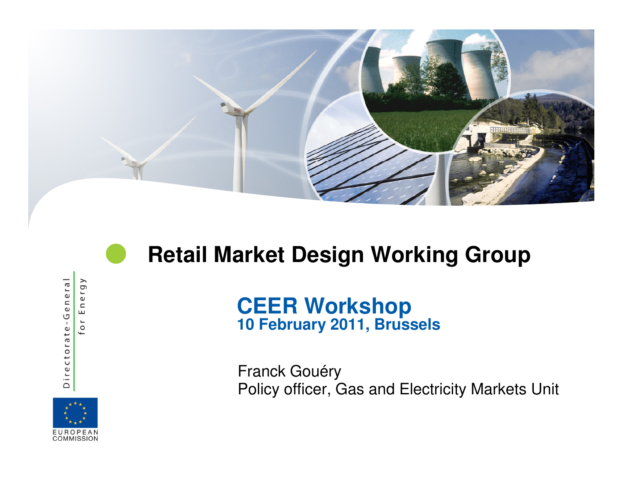

## **Retail Market Design Working Group**

ergy Directorate-General  $\mathrel{\mathop{\rule{0pt}{0pt}}\nolimits\mathop{\mathop{\rule{0pt}{0pt}}\nolimits}}$ ш  $\overline{\phantom{a}}$  $\circ$ 

 $\bullet$ 

# **CEER Workshop 10 February 2011, Brussels**

Franck GouéryPolicy officer, Gas and Electricity Markets Unit

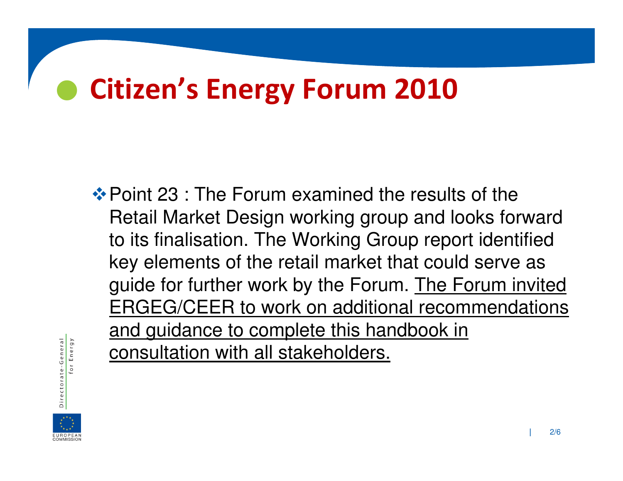#### $\bullet$ Citizen's Energy Forum 2010

**\*** Point 23 : The Forum examined the results of the ◆ Retail Market Design working group and looks forward to its finalisation. The Working Group report identified key elements of the retail market that could serve as guide for further work by the Forum. The Forum invited ERGEG/CEER to work on additional recommendations and guidance to complete this handbook in consultation with all stakeholders.



or Energy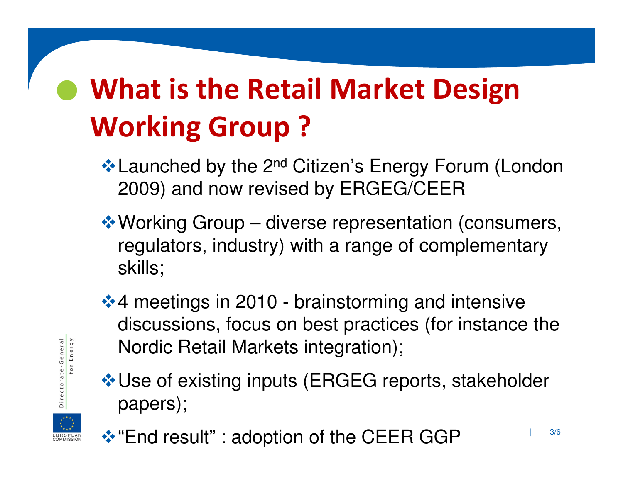### $\bullet$  What is the Retail Market Design Working Group ?

- **Exampled by the 2<sup>nd</sup> Citizen's Energy Forum (London**) 2009) and now revised by ERGEG/CEER
- -Working Group diverse representation (consumers, regulators, industry) with a range of complementaryskills;
- **❖ 4 meetings in 2010 brainstorming and intensive** discussions, focus on best practices (for instance the Nordic Retail Markets integration);
- -Use of existing inputs (ERGEG reports, stakeholder papers);



-General Energy

Dir

❖ "End result" : adoption of the CEER GGP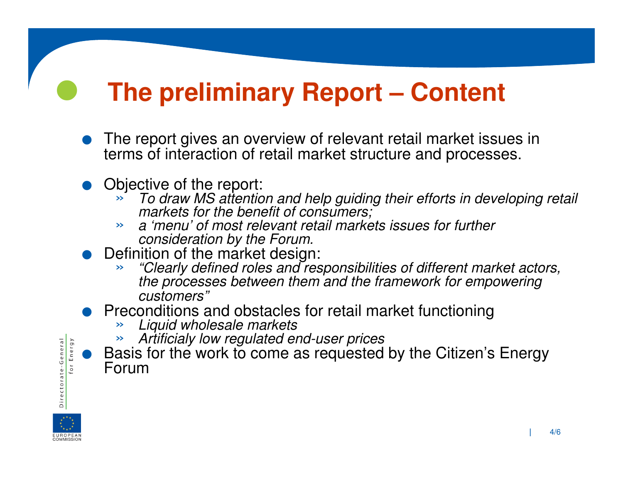## **The preliminary Report – Content**

- $\bullet$ The report gives an overview of relevant retail market issues in terms of interaction of retail market structure and processes.
- $\bullet$  Objective of the report:
	- » To draw MS attention and help guiding their efforts in developing retail markets for the benefit of consumers;
	- <sup>a</sup>'menu' of most relevant retail markets issues for further »consideration by the Forum.
- $\bullet$  Definition of the market design:
	- » "Clearly defined roles and responsibilities of different market actors, the processes between them and the framework for empowering customers"
- Preconditions and obstacles for retail market functioning<br>bigarity wholesale markets<br>by coulated and user prices  $\bullet$ 
	- »Liquid wholesale markets
	- $\gg$ Artificialy low regulated end-user prices
	- $\bullet$  Basis for the work to come as requested by the Citizen's Energy Forum



Directorate-General

Energy

 $\bullet$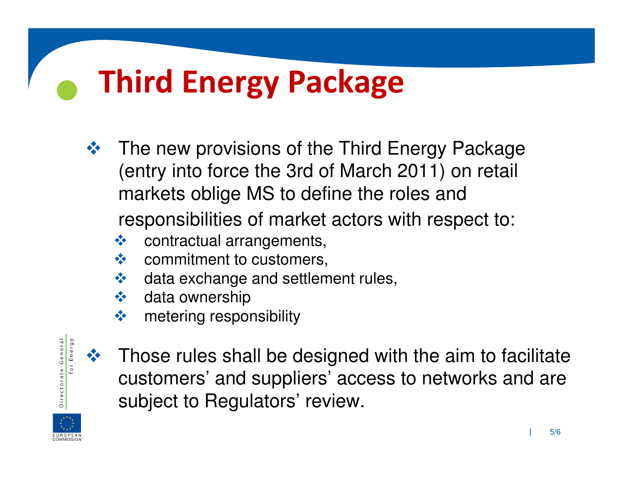# Third Energy Package

- - The new provisions of the Third Energy Package (entry into force the 3rd of March 2011) on retail markets oblige MS to define the roles and responsibilities of market actors with respect to:
	- $$ contractual arrangements,
	- $-1$ commitment to customers,
	- $-1$ data exchange and settlement rules,
	- $$ data ownership
	- $$ metering responsibility



 $\bullet$ 

 Those rules shall be designed with the aim to facilitate customers' and suppliers' access to networks and are subject to Regulators' review.

 $-1$